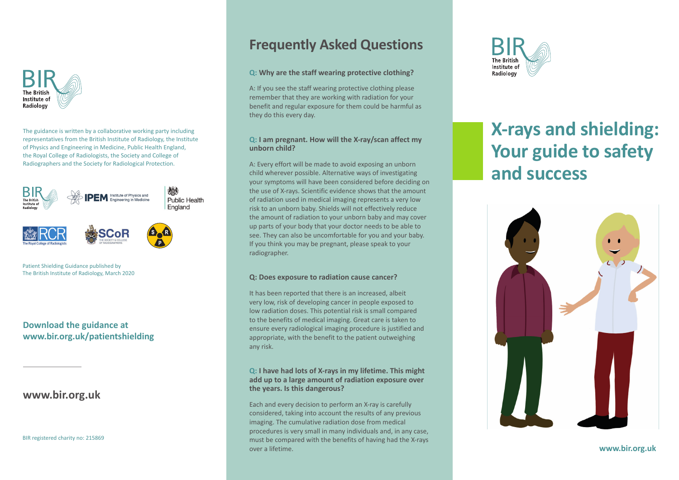

The guidance is written by a collaborative working party including representatives from the British Institute of Radiology, the Institute of Physics and Engineering in Medicine, Public Health England, the Royal College of Radiologists, the Society and College of Radiographers and the Society for Radiological Protection.



Patient Shielding Guidance published by The British Institute of Radiology, March 2020

### **Download the guidance at www.bir.org.uk/patientshielding**

## **www.bir.org.uk**

BIR registered charity no: 215869

# **Frequently Asked Questions**

#### **Q: Why are the staff wearing protective clothing?**

A: If you see the staff wearing protective clothing please remember that they are working with radiation for your benefit and regular exposure for them could be harmful as they do this every day.

#### **Q: I am pregnant. How will the X-ray/scan affect my unborn child?**

A: Every effort will be made to avoid exposing an unborn child wherever possible. Alternative ways of investigating your symptoms will have been considered before deciding on the use of X-rays. Scientific evidence shows that the amount of radiation used in medical imaging represents a very low risk to an unborn baby. Shields will not effectively reduce the amount of radiation to your unborn baby and may cover up parts of your body that your doctor needs to be able to see. They can also be uncomfortable for you and your baby. If you think you may be pregnant, please speak to your radiographer.

#### **Q: Does exposure to radiation cause cancer?**

It has been reported that there is an increased, albeit very low, risk of developing cancer in people exposed to low radiation doses. This potential risk is small compared to the benefits of medical imaging. Great care is taken to ensure every radiological imaging procedure is justified and appropriate, with the benefit to the patient outweighing any risk.

#### **Q: I have had lots of X-rays in my lifetime. This might add up to a large amount of radiation exposure over the years. Is this dangerous?**

Each and every decision to perform an X-ray is carefully considered, taking into account the results of any previous imaging. The cumulative radiation dose from medical procedures is very small in many individuals and, in any case, must be compared with the benefits of having had the X-rays over a lifetime.



# **X-rays and shielding: Your guide to safety and success**



#### **www.bir.org.uk**